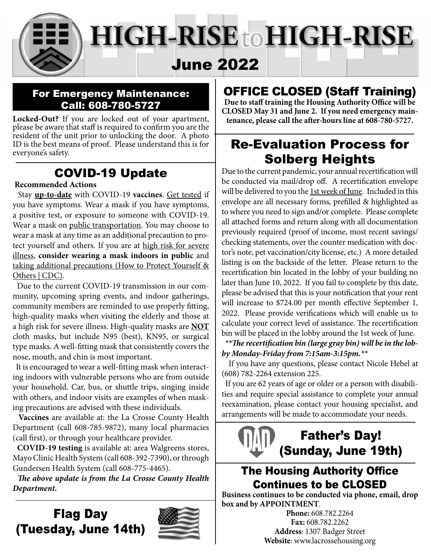

#### For Emergency Maintenance: Call: 608-780-5727

**Locked-Out?** If you are locked out of your apartment, please be aware that staff is required to confirm you are the resident of the unit prior to unlocking the door. A photo ID is the best means of proof. Please understand this is for everyone's safety.

### COVID-19 Update

#### **Recommended Actions**

 Stay **up-to-date** with COVID-19 **vaccines**. Get tested if you have symptoms. Wear a mask if you have symptoms, a positive test, or exposure to someone with COVID-19. Wear a mask on public transportation. You may choose to wear a mask at any time as an additional precaution to protect yourself and others. If you are at high risk for severe illness, **consider wearing a mask indoors in public** and taking additional precautions (How to Protect Yourself & Others | CDC).

 Due to the current COVID-19 transmission in our community, upcoming spring events, and indoor gatherings, community members are reminded to use properly fitting, high-quality masks when visiting the elderly and those at a high risk for severe illness. High-quality masks are **NOT**  cloth masks, but include N95 (best), KN95, or surgical type masks. A well-fitting mask that consistently covers the nose, mouth, and chin is most important.

It is encouraged to wear a well-fitting mask when interacting indoors with vulnerable persons who are from outside your household. Car, bus, or shuttle trips, singing inside with others, and indoor visits are examples of when masking precautions are advised with these individuals.

**Vaccines** are available at: the La Crosse County Health Department (call 608-785-9872), many local pharmacies (call first), or through your healthcare provider.

 **COVID-19 testing** is available at: area Walgreens stores, Mayo Clinic Health System (call 608-392-7390), or through Gundersen Health System (call 608-775-4465).

*The above update is from the La Crosse County Health Department.*

## Flag Day (Tuesday, June 14th)



# OFFICE CLOSED (Staff Training)

Due to staff training the Housing Authority Office will be **CLOSED May 31 and June 2. If you need emergency main**tenance, please call the after-hours line at 608-780-5727.

## Re-Evaluation Process for Solberg Heights

Due to the current pandemic, your annual recertification will be conducted via mail/drop off. A recertification envelope will be delivered to you the 1st week of June. Included in this envelope are all necessary forms, prefilled & highlighted as to where you need to sign and/or complete. Please complete all attached forms and return along with all documentation previously required (proof of income, most recent savings/ checking statements, over the counter medication with doctor's note, pet vaccination/city license, etc.) A more detailed listing is on the backside of the letter. Please return to the recertification bin located in the lobby of your building no later than June 10, 2022. If you fail to complete by this date, please be advised that this is your notification that your rent will increase to \$724.00 per month effective September 1, 2022. Please provide verifications which will enable us to calculate your correct level of assistance. The recertification bin will be placed in the lobby around the 1st week of June.

#### \*\*The recertification bin (large gray bin) will be in the lob*by Monday-Friday from 7:15am-3:15pm.\*\**

 If you have any questions, please contact Nicole Hebel at (608) 782-2264 extension 225.

 If you are 62 years of age or older or a person with disabilities and require special assistance to complete your annual reexamination, please contact your housing specialist, and arrangements will be made to accommodate your needs.

# Father's Day! (Sunday, June 19th)

### **The Housing Authority Office** Continues to be CLOSED

**Business continues to be conducted via phone, email, drop box and by APPOINTMENT**.

**Phone:** 608.782.2264 **Fax:** 608.782.2262 **Address**: 1307 Badger Street **Website**: www.lacrossehousing.org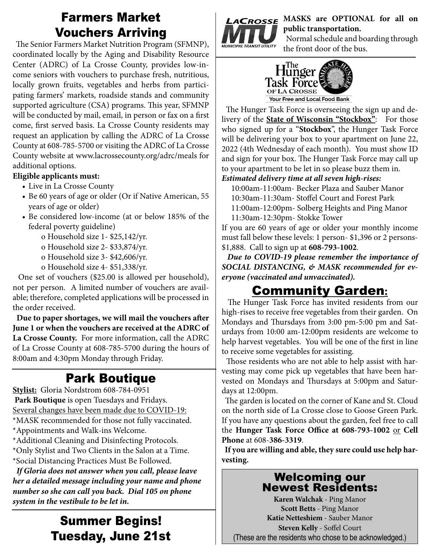### Farmers Market Vouchers Arriving

The Senior Farmers Market Nutrition Program (SFMNP), coordinated locally by the Aging and Disability Resource Center (ADRC) of La Crosse County, provides low-income seniors with vouchers to purchase fresh, nutritious, locally grown fruits, vegetables and herbs from participating farmers' markets, roadside stands and community supported agriculture (CSA) programs. This year, SFMNP will be conducted by mail, email, in person or fax on a first come, first served basis. La Crosse County residents may request an application by calling the ADRC of La Crosse County at 608-785-5700 or visiting the ADRC of La Crosse County website at www.lacrossecounty.org/adrc/meals for additional options.

#### **Eligible applicants must:**

- Live in La Crosse County
- Be 60 years of age or older (Or if Native American, 55 years of age or older)
- Be considered low-income (at or below 185% of the federal poverty guideline)
	- o Household size 1- \$25,142/yr.
	- o Household size 2- \$33,874/yr.
	- o Household size 3- \$42,606/yr.
	- o Household size 4- \$51,338/yr.

 One set of vouchers (\$25.00 is allowed per household), not per person. A limited number of vouchers are available; therefore, completed applications will be processed in the order received.

Due to paper shortages, we will mail the vouchers after **June 1 or when the vouchers are received at the ADRC of La Crosse County.** For more information, call the ADRC of La Crosse County at 608-785-5700 during the hours of 8:00am and 4:30pm Monday through Friday.

# Park Boutique

**Stylist:** Gloria Nordstrom 608-784-0951 **Park Boutique** is open Tuesdays and Fridays. Several changes have been made due to COVID-19: \*MASK recommended for those not fully vaccinated. \*Appointments and Walk-ins Welcome. \*Additional Cleaning and Disinfecting Protocols.

\*Only Stylist and Two Clients in the Salon at a Time. \*Social Distancing Practices Must Be Followed.

 *If Gloria does not answer when you call, please leave her a detailed message including your name and phone number so she can call you back. Dial 105 on phone system in the vestibule to be let in.* 

### Summer Begins! Tuesday, June 21st



LACROSSE MASKS are OPTIONAL for all on **public transportation.** 

 Normal schedule and boarding through the front door of the bus.



The Hunger Task Force is overseeing the sign up and delivery of the **State of Wisconsin "Stockbox"**: For those who signed up for a "**Stockbox**", the Hunger Task Force will be delivering your box to your apartment on June 22, 2022 (4th Wednesday of each month). You must show ID and sign for your box. The Hunger Task Force may call up to your apartment to be let in so please buzz them in.

#### *Estimated delivery time at all seven high-rises:*

10:00am-11:00am- Becker Plaza and Sauber Manor 10:30am-11:30am- Stoffel Court and Forest Park 11:00am-12:00pm- Solberg Heights and Ping Manor 11:30am-12:30pm- Stokke Tower

If you are 60 years of age or older your monthly income must fall below these levels: 1 person- \$1,396 or 2 persons- \$1,888. Call to sign up at **608-793-1002**.

 *Due to COVID-19 please remember the importance of SOCIAL DISTANCING, & MASK recommended for everyone (vaccinated and unvaccinated).*

### Community Garden**:**

The Hunger Task Force has invited residents from our high-rises to receive free vegetables from their garden. On Mondays and Thursdays from 3:00 pm-5:00 pm and Saturdays from 10:00 am-12:00pm residents are welcome to help harvest vegetables. You will be one of the first in line to receive some vegetables for assisting.

Those residents who are not able to help assist with harvesting may come pick up vegetables that have been harvested on Mondays and Thursdays at 5:00pm and Saturdays at 12:00pm.

The garden is located on the corner of Kane and St. Cloud on the north side of La Crosse close to Goose Green Park. If you have any questions about the garden, feel free to call the **Hunger Task Force Office at 608-793-1002** or Cell **Phone** at 608-**386-3319**.

 **If you are willing and able, they sure could use help harvesting.**

#### Welcoming our Newest Residents:

**Karen Walchak** - Ping Manor **Scott Betts** - Ping Manor **Katie Netteshiem** - Sauber Manor **Steven Kelly - Soffel Court** (These are the residents who chose to be acknowledged.)